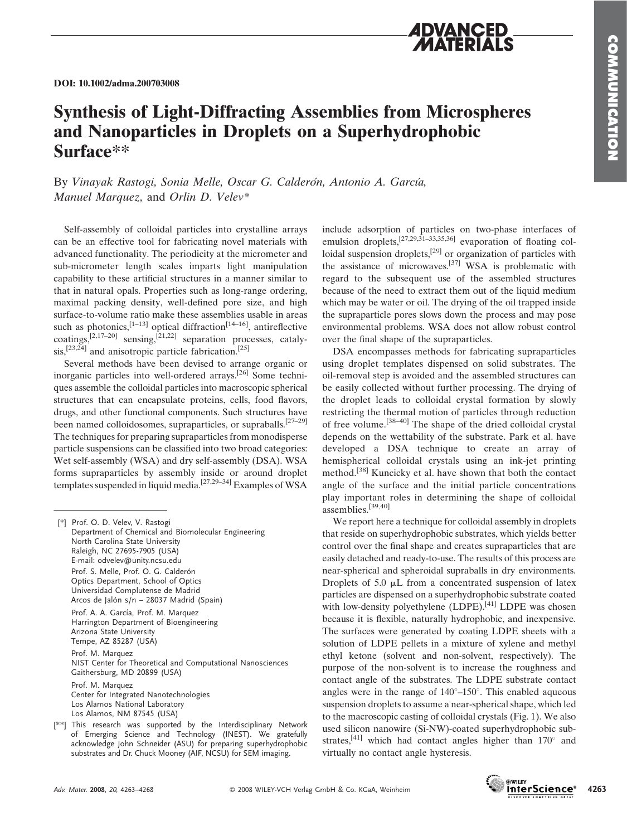

## Synthesis of Light-Diffracting Assemblies from Microspheres and Nanoparticles in Droplets on a Superhydrophobic Surface\*\*

By Vinayak Rastogi, Sonia Melle, Oscar G. Calderón, Antonio A. García, Manuel Marquez, and Orlin D. Velev\*

Self-assembly of colloidal particles into crystalline arrays can be an effective tool for fabricating novel materials with advanced functionality. The periodicity at the micrometer and sub-micrometer length scales imparts light manipulation capability to these artificial structures in a manner similar to that in natural opals. Properties such as long-range ordering, maximal packing density, well-defined pore size, and high surface-to-volume ratio make these assemblies usable in areas such as photonics,  $[1-13]$  optical diffraction<sup>[14–16]</sup>, antireflective coatings, $[2,17-20]$  sensing, $[21,22]$  separation processes, catalysis,<sup>[23,24]</sup> and anisotropic particle fabrication.<sup>[25]</sup>

Several methods have been devised to arrange organic or inorganic particles into well-ordered arrays.[26] Some techniques assemble the colloidal particles into macroscopic spherical structures that can encapsulate proteins, cells, food flavors, drugs, and other functional components. Such structures have been named colloidosomes, supraparticles, or supraballs.<sup>[27-29]</sup> The techniques for preparing supraparticles from monodisperse particle suspensions can be classified into two broad categories: Wet self-assembly (WSA) and dry self-assembly (DSA). WSA forms supraparticles by assembly inside or around droplet templates suspended in liquid media.<sup>[27,29–34]</sup> Examples of WSA

| [*] Prof. O. D. Velev, V. Rastogi<br>Department of Chemical and Biomolecular Engineering<br>North Carolina State University<br>Raleigh, NC 27695-7905 (USA)<br>E-mail: odvelev@unity.ncsu.edu<br>Prof. S. Melle, Prof. O. G. Calderón<br>Optics Department, School of Optics<br>Universidad Complutense de Madrid<br>Arcos de Jalón s/n – 28037 Madrid (Spain) |
|----------------------------------------------------------------------------------------------------------------------------------------------------------------------------------------------------------------------------------------------------------------------------------------------------------------------------------------------------------------|
| Prof. A. A. García, Prof. M. Marquez<br>Harrington Department of Bioengineering<br>Arizona State University<br>Tempe, AZ 85287 (USA)                                                                                                                                                                                                                           |
| Prof. M. Marquez<br>NIST Center for Theoretical and Computational Nanosciences<br>Gaithersburg, MD 20899 (USA)                                                                                                                                                                                                                                                 |
| Prof. M. Marquez<br>Center for Integrated Nanotechnologies<br>Los Alamos National Laboratory<br>Los Alamos, NM 87545 (USA)                                                                                                                                                                                                                                     |
| [**] This research was supported by the Interdisciplinary Network<br>of Emerging Science and Technology (INEST). We gratefully<br>acknowledge John Schneider (ASU) for preparing superhydrophobic                                                                                                                                                              |

substrates and Dr. Chuck Mooney (AIF, NCSU) for SEM imaging.

include adsorption of particles on two-phase interfaces of emulsion droplets,<sup>[27,29,31–33,35,36]</sup> evaporation of floating colloidal suspension droplets,<sup>[29]</sup> or organization of particles with the assistance of microwaves.[37] WSA is problematic with regard to the subsequent use of the assembled structures because of the need to extract them out of the liquid medium which may be water or oil. The drying of the oil trapped inside the supraparticle pores slows down the process and may pose environmental problems. WSA does not allow robust control over the final shape of the supraparticles.

DSA encompasses methods for fabricating supraparticles using droplet templates dispensed on solid substrates. The oil-removal step is avoided and the assembled structures can be easily collected without further processing. The drying of the droplet leads to colloidal crystal formation by slowly restricting the thermal motion of particles through reduction of free volume.[38–40] The shape of the dried colloidal crystal depends on the wettability of the substrate. Park et al. have developed a DSA technique to create an array of hemispherical colloidal crystals using an ink-jet printing method.[38] Kuncicky et al. have shown that both the contact angle of the surface and the initial particle concentrations play important roles in determining the shape of colloidal assemblies.[39,40]

We report here a technique for colloidal assembly in droplets that reside on superhydrophobic substrates, which yields better control over the final shape and creates supraparticles that are easily detached and ready-to-use. The results of this process are near-spherical and spheroidal supraballs in dry environments. Droplets of 5.0  $\mu$ L from a concentrated suspension of latex particles are dispensed on a superhydrophobic substrate coated with low-density polyethylene  $(LDPE)$ .<sup>[41]</sup> LDPE was chosen because it is flexible, naturally hydrophobic, and inexpensive. The surfaces were generated by coating LDPE sheets with a solution of LDPE pellets in a mixture of xylene and methyl ethyl ketone (solvent and non-solvent, respectively). The purpose of the non-solvent is to increase the roughness and contact angle of the substrates. The LDPE substrate contact angles were in the range of  $140^{\circ}-150^{\circ}$ . This enabled aqueous suspension droplets to assume a near-spherical shape, which led to the macroscopic casting of colloidal crystals (Fig. 1). We also used silicon nanowire (Si-NW)-coated superhydrophobic substrates,<sup>[41]</sup> which had contact angles higher than  $170^\circ$  and virtually no contact angle hysteresis.

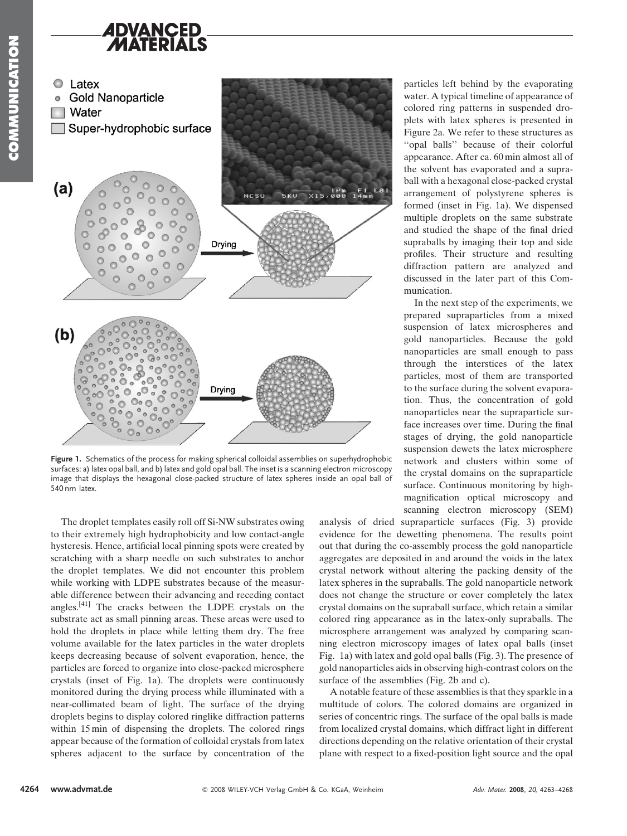



Figure 1. Schematics of the process for making spherical colloidal assemblies on superhydrophobic surfaces: a) latex opal ball, and b) latex and gold opal ball. The inset is a scanning electron microscopy image that displays the hexagonal close-packed structure of latex spheres inside an opal ball of 540 nm latex.

The droplet templates easily roll off Si-NW substrates owing to their extremely high hydrophobicity and low contact-angle hysteresis. Hence, artificial local pinning spots were created by scratching with a sharp needle on such substrates to anchor the droplet templates. We did not encounter this problem while working with LDPE substrates because of the measurable difference between their advancing and receding contact angles.[41] The cracks between the LDPE crystals on the substrate act as small pinning areas. These areas were used to hold the droplets in place while letting them dry. The free volume available for the latex particles in the water droplets keeps decreasing because of solvent evaporation, hence, the particles are forced to organize into close-packed microsphere crystals (inset of Fig. 1a). The droplets were continuously monitored during the drying process while illuminated with a near-collimated beam of light. The surface of the drying droplets begins to display colored ringlike diffraction patterns within 15 min of dispensing the droplets. The colored rings appear because of the formation of colloidal crystals from latex spheres adjacent to the surface by concentration of the particles left behind by the evaporating water. A typical timeline of appearance of colored ring patterns in suspended droplets with latex spheres is presented in Figure 2a. We refer to these structures as ''opal balls'' because of their colorful appearance. After ca. 60 min almost all of the solvent has evaporated and a supraball with a hexagonal close-packed crystal arrangement of polystyrene spheres is formed (inset in Fig. 1a). We dispensed multiple droplets on the same substrate and studied the shape of the final dried supraballs by imaging their top and side profiles. Their structure and resulting diffraction pattern are analyzed and discussed in the later part of this Communication.

In the next step of the experiments, we prepared supraparticles from a mixed suspension of latex microspheres and gold nanoparticles. Because the gold nanoparticles are small enough to pass through the interstices of the latex particles, most of them are transported to the surface during the solvent evaporation. Thus, the concentration of gold nanoparticles near the supraparticle surface increases over time. During the final stages of drying, the gold nanoparticle suspension dewets the latex microsphere network and clusters within some of the crystal domains on the supraparticle surface. Continuous monitoring by highmagnification optical microscopy and scanning electron microscopy (SEM)

analysis of dried supraparticle surfaces (Fig. 3) provide evidence for the dewetting phenomena. The results point out that during the co-assembly process the gold nanoparticle aggregates are deposited in and around the voids in the latex crystal network without altering the packing density of the latex spheres in the supraballs. The gold nanoparticle network does not change the structure or cover completely the latex crystal domains on the supraball surface, which retain a similar colored ring appearance as in the latex-only supraballs. The microsphere arrangement was analyzed by comparing scanning electron microscopy images of latex opal balls (inset Fig. 1a) with latex and gold opal balls (Fig. 3). The presence of gold nanoparticles aids in observing high-contrast colors on the surface of the assemblies (Fig. 2b and c).

A notable feature of these assemblies is that they sparkle in a multitude of colors. The colored domains are organized in series of concentric rings. The surface of the opal balls is made from localized crystal domains, which diffract light in different directions depending on the relative orientation of their crystal plane with respect to a fixed-position light source and the opal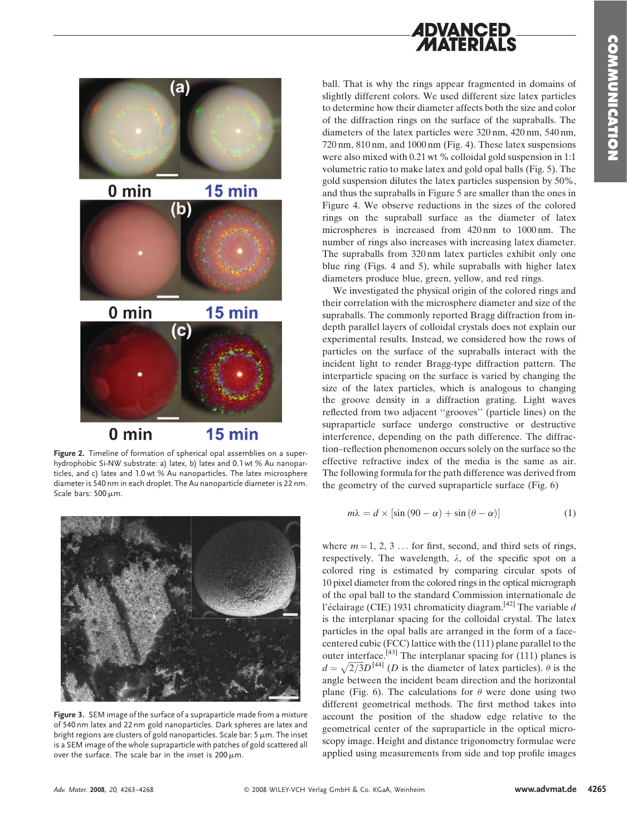## **ADVANCED** MATFRIALS



Figure 2. Timeline of formation of spherical opal assemblies on a superhydrophobic Si-NW substrate: a) latex, b) latex and 0.1 wt % Au nanoparticles, and c) latex and 1.0 wt % Au nanoparticles. The latex microsphere diameter is 540 nm in each droplet. The Au nanoparticle diameter is 22 nm. Scale bars: 500 µm.



Figure 3. SEM image of the surface of a supraparticle made from a mixture of 540 nm latex and 22 nm gold nanoparticles. Dark spheres are latex and bright regions are clusters of gold nanoparticles. Scale bar: 5  $\mu$ m. The inset is a SEM image of the whole supraparticle with patches of gold scattered all over the surface. The scale bar in the inset is  $200 \mu m$ .

ball. That is why the rings appear fragmented in domains of slightly different colors. We used different size latex particles to determine how their diameter affects both the size and color of the diffraction rings on the surface of the supraballs. The diameters of the latex particles were 320 nm, 420 nm, 540 nm, 720 nm, 810 nm, and 1000 nm (Fig. 4). These latex suspensions were also mixed with 0.21 wt % colloidal gold suspension in 1:1 volumetric ratio to make latex and gold opal balls (Fig. 5). The gold suspension dilutes the latex particles suspension by 50%, and thus the supraballs in Figure 5 are smaller than the ones in Figure 4. We observe reductions in the sizes of the colored rings on the supraball surface as the diameter of latex microspheres is increased from 420 nm to 1000 nm. The number of rings also increases with increasing latex diameter. The supraballs from 320 nm latex particles exhibit only one blue ring (Figs. 4 and 5), while supraballs with higher latex diameters produce blue, green, yellow, and red rings.

We investigated the physical origin of the colored rings and their correlation with the microsphere diameter and size of the supraballs. The commonly reported Bragg diffraction from indepth parallel layers of colloidal crystals does not explain our experimental results. Instead, we considered how the rows of particles on the surface of the supraballs interact with the incident light to render Bragg-type diffraction pattern. The interparticle spacing on the surface is varied by changing the size of the latex particles, which is analogous to changing the groove density in a diffraction grating. Light waves reflected from two adjacent ''grooves'' (particle lines) on the supraparticle surface undergo constructive or destructive interference, depending on the path difference. The diffraction–reflection phenomenon occurs solely on the surface so the effective refractive index of the media is the same as air. The following formula for the path difference was derived from the geometry of the curved supraparticle surface (Fig. 6)

$$
m\lambda = d \times \left[ \sin (90 - \alpha) + \sin (\theta - \alpha) \right] \tag{1}
$$

where  $m = 1, 2, 3, \ldots$  for first, second, and third sets of rings, respectively. The wavelength,  $\lambda$ , of the specific spot on a colored ring is estimated by comparing circular spots of 10 pixel diameter from the colored rings in the optical micrograph of the opal ball to the standard Commission internationale de l'éclairage (CIE) 1931 chromaticity diagram.<sup>[42]</sup> The variable d is the interplanar spacing for the colloidal crystal. The latex particles in the opal balls are arranged in the form of a facecentered cubic (FCC) lattice with the (111) plane parallel to the outer interface.<sup>[43]</sup> The interplanar spacing for  $(111)$  planes is  $d = \sqrt{2/3}D^{[44]}$  (D is the diameter of latex particles).  $\theta$  is the angle between the incident beam direction and the horizontal plane (Fig. 6). The calculations for  $\theta$  were done using two different geometrical methods. The first method takes into account the position of the shadow edge relative to the geometrical center of the supraparticle in the optical microscopy image. Height and distance trigonometry formulae were applied using measurements from side and top profile images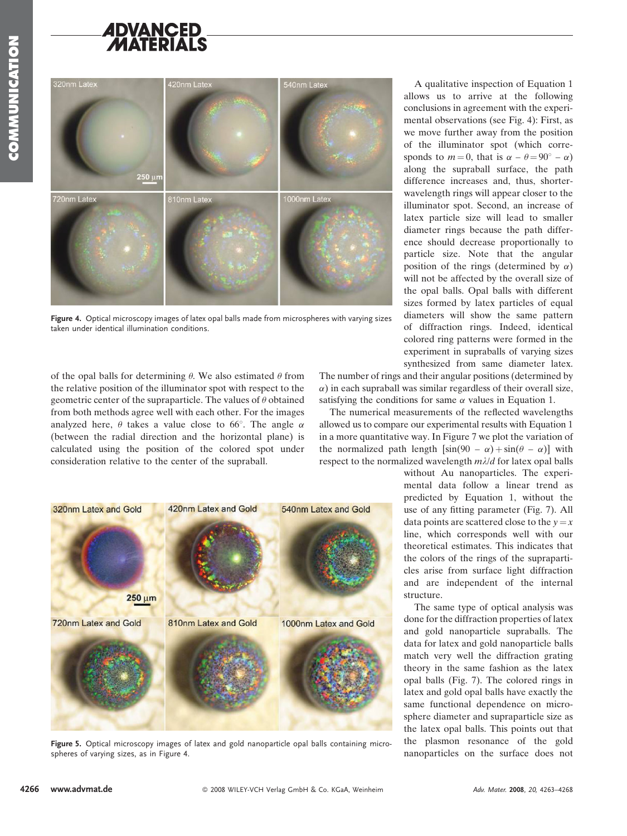## **ADVANCED** ATFRIALS



Figure 4. Optical microscopy images of latex opal balls made from microspheres with varying sizes taken under identical illumination conditions.

of the opal balls for determining  $\theta$ . We also estimated  $\theta$  from the relative position of the illuminator spot with respect to the geometric center of the supraparticle. The values of  $\theta$  obtained from both methods agree well with each other. For the images analyzed here,  $\theta$  takes a value close to 66°. The angle  $\alpha$ (between the radial direction and the horizontal plane) is calculated using the position of the colored spot under consideration relative to the center of the supraball.



Figure 5. Optical microscopy images of latex and gold nanoparticle opal balls containing microspheres of varying sizes, as in Figure 4.

A qualitative inspection of Equation 1 allows us to arrive at the following conclusions in agreement with the experimental observations (see Fig. 4): First, as we move further away from the position of the illuminator spot (which corresponds to  $m = 0$ , that is  $\alpha - \theta = 90^{\circ} - \alpha$ ) along the supraball surface, the path difference increases and, thus, shorterwavelength rings will appear closer to the illuminator spot. Second, an increase of latex particle size will lead to smaller diameter rings because the path difference should decrease proportionally to particle size. Note that the angular position of the rings (determined by  $\alpha$ ) will not be affected by the overall size of the opal balls. Opal balls with different sizes formed by latex particles of equal diameters will show the same pattern of diffraction rings. Indeed, identical colored ring patterns were formed in the experiment in supraballs of varying sizes synthesized from same diameter latex.

The number of rings and their angular positions (determined by  $\alpha$ ) in each supraball was similar regardless of their overall size, satisfying the conditions for same  $\alpha$  values in Equation 1.

The numerical measurements of the reflected wavelengths allowed us to compare our experimental results with Equation 1 in a more quantitative way. In Figure 7 we plot the variation of the normalized path length  $[\sin(90 - \alpha) + \sin(\theta - \alpha)]$  with respect to the normalized wavelength  $m\lambda/d$  for latex opal balls

> without Au nanoparticles. The experimental data follow a linear trend as predicted by Equation 1, without the use of any fitting parameter (Fig. 7). All data points are scattered close to the  $y = x$ line, which corresponds well with our theoretical estimates. This indicates that the colors of the rings of the supraparticles arise from surface light diffraction and are independent of the internal structure.

> The same type of optical analysis was done for the diffraction properties of latex and gold nanoparticle supraballs. The data for latex and gold nanoparticle balls match very well the diffraction grating theory in the same fashion as the latex opal balls (Fig. 7). The colored rings in latex and gold opal balls have exactly the same functional dependence on microsphere diameter and supraparticle size as the latex opal balls. This points out that the plasmon resonance of the gold nanoparticles on the surface does not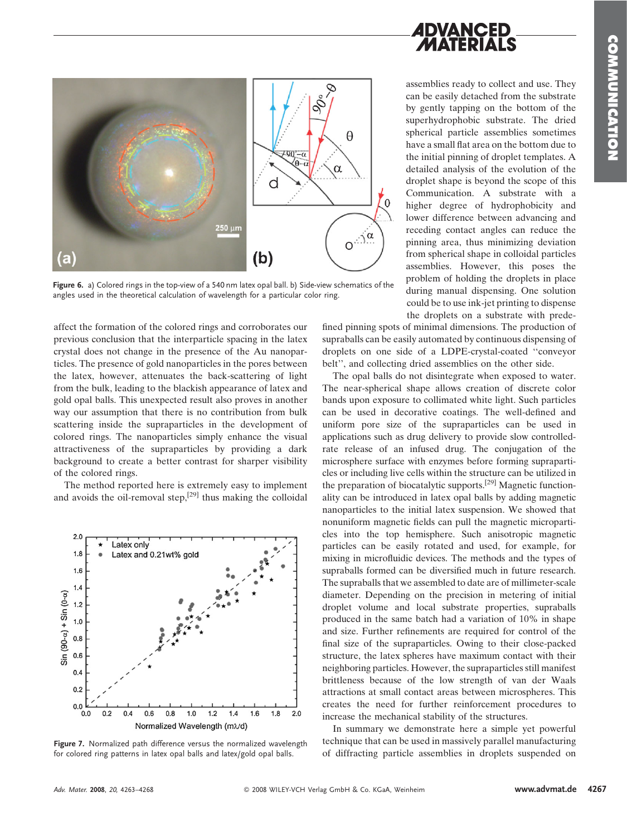

Figure 6. a) Colored rings in the top-view of a 540 nm latex opal ball. b) Side-view schematics of the angles used in the theoretical calculation of wavelength for a particular color ring.

affect the formation of the colored rings and corroborates our previous conclusion that the interparticle spacing in the latex crystal does not change in the presence of the Au nanoparticles. The presence of gold nanoparticles in the pores between the latex, however, attenuates the back-scattering of light from the bulk, leading to the blackish appearance of latex and gold opal balls. This unexpected result also proves in another way our assumption that there is no contribution from bulk scattering inside the supraparticles in the development of colored rings. The nanoparticles simply enhance the visual attractiveness of the supraparticles by providing a dark background to create a better contrast for sharper visibility of the colored rings.

The method reported here is extremely easy to implement and avoids the oil-removal step,<sup>[29]</sup> thus making the colloidal



Figure 7. Normalized path difference versus the normalized wavelength for colored ring patterns in latex opal balls and latex/gold opal balls.

assemblies ready to collect and use. They can be easily detached from the substrate by gently tapping on the bottom of the superhydrophobic substrate. The dried spherical particle assemblies sometimes have a small flat area on the bottom due to the initial pinning of droplet templates. A detailed analysis of the evolution of the droplet shape is beyond the scope of this Communication. A substrate with a higher degree of hydrophobicity and lower difference between advancing and receding contact angles can reduce the pinning area, thus minimizing deviation from spherical shape in colloidal particles

*ADVANCED* 

MATERIALS

assemblies. However, this poses the problem of holding the droplets in place during manual dispensing. One solution could be to use ink-jet printing to dispense the droplets on a substrate with prede-

fined pinning spots of minimal dimensions. The production of supraballs can be easily automated by continuous dispensing of droplets on one side of a LDPE-crystal-coated ''conveyor belt'', and collecting dried assemblies on the other side.

The opal balls do not disintegrate when exposed to water. The near-spherical shape allows creation of discrete color bands upon exposure to collimated white light. Such particles can be used in decorative coatings. The well-defined and uniform pore size of the supraparticles can be used in applications such as drug delivery to provide slow controlledrate release of an infused drug. The conjugation of the microsphere surface with enzymes before forming supraparticles or including live cells within the structure can be utilized in the preparation of biocatalytic supports.[29] Magnetic functionality can be introduced in latex opal balls by adding magnetic nanoparticles to the initial latex suspension. We showed that nonuniform magnetic fields can pull the magnetic microparticles into the top hemisphere. Such anisotropic magnetic particles can be easily rotated and used, for example, for mixing in microfluidic devices. The methods and the types of supraballs formed can be diversified much in future research. The supraballs that we assembled to date are of millimeter-scale diameter. Depending on the precision in metering of initial droplet volume and local substrate properties, supraballs produced in the same batch had a variation of 10% in shape and size. Further refinements are required for control of the final size of the supraparticles. Owing to their close-packed structure, the latex spheres have maximum contact with their neighboring particles. However, the supraparticles still manifest brittleness because of the low strength of van der Waals attractions at small contact areas between microspheres. This creates the need for further reinforcement procedures to increase the mechanical stability of the structures.

In summary we demonstrate here a simple yet powerful technique that can be used in massively parallel manufacturing of diffracting particle assemblies in droplets suspended on